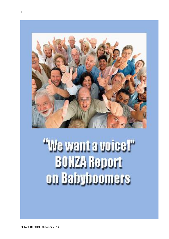

# "We want a voice!" **BONZA Report** on Babyboomers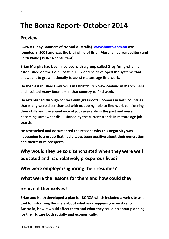# **The Bonza Report- October 2014**

#### **Preview**

**BONZA (Baby Boomers of NZ and Australia) [www.bonza.com.au](http://www.bonza.com.au/) was founded in 2001 and was the brainchild of Brian Murphy ( current editor) and Keith Blake ( BONZA consultant) .**

**Brian Murphy had been involved with a group called Grey Army when it established on the Gold Coast in 1997 and he developed the systems that allowed it to grow nationally to assist mature age find work.**

**He then established Grey Skills in Christchurch New Zealand in March 1998 and assisted many Boomers in that country to find work.** 

**He established through contact with grassroots Boomers in both countries that many were disenchanted with not being able to find work considering their skills and the abundance of jobs available in the past and were becoming somewhat disillusioned by the current trends in mature age job search.**

**He researched and documented the reasons why this negativity was happening to a group that had always been positive about their generation and their future prospects.**

**Why would they be so disenchanted when they were well educated and had relatively prosperous lives?**

**Why were employers ignoring their resumes?**

**What were the lessons for them and how could they** 

**re-invent themselves?**

**Brian and Keith developed a plan for BONZA which included a web site as a tool for informing Boomers about what was happening in an Ageing Australia, how it would affect them and what they could do about planning for their future both socially and economically.**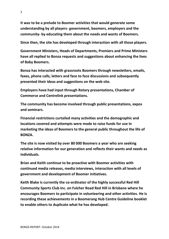**It was to be a prelude to Boomer activities that would generate some understanding by all players- government, boomers, employers and the community- by educating them about the needs and wants of Boomers.**

**Since then, the site has developed through interaction with all those players.**

**Government Ministers, Heads of Departments, Premiers and Prime Ministers have all replied to Bonza requests and suggestions about enhancing the lives of Baby Boomers.**

**Bonza has interacted with grassroots Boomers through newsletters, emails, faxes, phone calls, letters and face to face discussions and subsequently presented their ideas and suggestions on the web site.**

**Employers have had input through Rotary presentations, Chamber of Commerce and Centrelink presentations.**

**The community has become involved through public presentations, expos and seminars.**

**Financial restrictions curtailed many activities and the demographic and locations covered and attempts were made to raise funds for use in marketing the ideas of Boomers to the general public throughout the life of BONZA.**

**The site is now visited by over 80 000 Boomers a year who are seeking relative information for our generation and reflects their wants and needs as individuals.**

**Brian and Keith continue to be proactive with Boomer activities with continued media releases, media interviews, interaction with all levels of government and development of Boomer initiatives.**

**Keith Blake is currently the co-ordinator of the highly successful Red Hill Community Sports Club Inc. on Fulcher Road Red Hill in Brisbane where he encourages Boomers to participate in volunteering and other activities. He is recording these achievements in a Boomerang Hub Centre Guideline booklet to enable others to duplicate what he has developed.**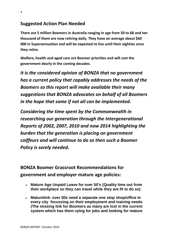#### **Suggested Action Plan Needed**

**There are 5 million Boomers in Australia ranging in age from 50 to 68 and ten thousand of them are now retiring daily. They have on average about \$60 000 in Superannuation and will be expected to live until their eighties once they retire.**

**Welfare, health and aged care are Boomer priorities and will cost the government dearly in the coming decades.**

*It is the considered opinion of BONZA that no government has a current policy that capably addresses the needs of the Boomers so this report will make available their many suggestions that BONZA advocates on behalf of all Boomers in the hope that some if not all can be implemented.*

*Considering the time spent by the Commonwealth in researching our generation through the Intergenerational Reports of 2002, 2007, 2010 and now 2014 highlighting the burden that the generation is placing on government coiffeurs and will continue to do so then such a Boomer Policy is sorely needed.*

**BONZA Boomer Grassroot Recommendations for government and employer mature age policies:**

- **Mature Age Unpaid Leave for over 50's (Quality time out from their workplace so they can travel while they are fit to do so)**
- **Maturelink- over 50s need a separate one stop shop/office in every city focussing on their employment and training needs (The missing link for Boomers as many are lost in the current system which has them vying for jobs and looking for mature**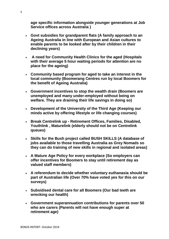**age specific information alongside younger generations at Job Service offices across Australia )**

- **Govt subsidies for grandparent flats (A family approach to an Ageing Australia in line with European and Asian cultures to enable parents to be looked after by their children in their declining years)**
- **A need for Community Health Clinics for the aged (Hospitals with their average 5 hour waiting periods for attention are no place for the ageing)**
- **Community based program for aged to take an interest in the local community (Boomerang Centres run by local Boomers for the benefit of Ageing Australia)**
- **Government incentives to stop the wealth drain (Boomers are unemployed and many under-employed without being on welfare. They are draining their life savings in doing so)**
- **Development of the University of the Third Age (Keeping our minds active by offering lifestyle or life changing courses)**
- **Break Centrelink up - Retirement Offices, Families, Disabled, Youthlink , Maturelink (elderly should not be on Centrelink queues)**
- **Skills for the Bush project called BUSH SKILLS (A database of jobs available to those travelling Australia as Grey Nomads so they can do training of new skills in regional and isolated areas)**
- **A Mature Age Policy for every workplace (So employers can offer incentives for Boomers to stay until retirement day as valued staff members)**
- **A referendum to decide whether voluntary euthanasia should be part of Australian life (Over 70% have voted yes for this on our surveys)**
- **Subsidised dental care for all Boomers (Our bad teeth are wrecking our health)**
- **Government superannuation contributions for parents over 50 who are carers (Parents will not have enough super at retirement age)**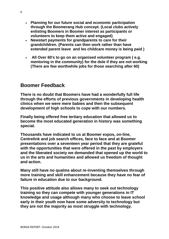- **Planning for our future social and economic participation through the Boomerang Hub concept. (Local clubs actively enlisting Boomers in Boomer interest as participants or volunteers to keep them active and engaged)**
- **Newstart payments for grandparents to care for their grandchildren. (Parents can then work rather than have extended parent leave and les childcare money is being paid )**
- **All Over 60's to go on an organised volunteer program ( e.g. mentoring in the community) for the dole if they are not working (There are few worthwhile jobs for those searching after 60)**

#### **Boomer Feedback**

**There is no doubt that Boomers have had a wonderfully full life through the efforts of previous governments in developing health clinics when we were mere babies and then the subsequent development of high schools to cope with our numbers.** 

**Finally being offered free tertiary education that allowed us to become the most educated generation in history was something special.**

**Thousands have indicated to us at Boomer expos, on-line, Centrelink and job search offices, face to face and at Boomer presentations over a seventeen year period that they are grateful with the opportunities that were offered in the past by employers and the liberated society we demanded that opened up the world to us in the arts and humanities and allowed us freedom of thought and action.**

**Many still have no qualms about re-inventing themselves through more training and skill enhancement because they have no fear of failure in education due to our background.**

**This positive attitude also allows many to seek out technology training so they can compete with younger generations in IT knowledge and usage although many who choose to leave school early in their youth now have some adversity to technology but they are not the majority as most struggle with technology.**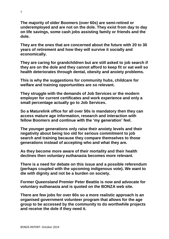**The majority of older Boomers (over 60s) are semi-retired or underemployed and are not on the dole. They exist from day to day on life savings, some cash jobs assisting family or friends and the dole.** 

**They are the ones that are concerned about the future with 20 to 30 years of retirement and how they will survive it socially and economically.**

**They are caring for grandchildren but are still asked to job search if they are on the dole and they cannot afford to keep fit or eat well so health deteriorates through dental, obesity and anxiety problems.**

**This is why the suggestions for community hubs, childcare for welfare and training opportunities are so relevant.** 

**They struggle with the demands of Job Services or the modern employer for current certificates and work experience and only a small percentage actually go to Job Services.** 

**So a Maturelink office for all over 50s is mandatory then they can access mature age information, research and interaction with fellow Boomers and continue with the 'my generation' feel.** 

**The younger generations only raise their anxiety levels and their negativity about being too old for serious commitment to job search and training because they compare themselves to those generations instead of accepting who and what they are.**

**As they become more aware of their mortality and their health declines then voluntary euthanasia becomes more relevant.** 

**There is a need for debate on this issue and a possible referendum (perhaps coupled with the upcoming indigenous vote). We want to die with dignity and not be a burden on society.**

**Former Queensland Premier Peter Beattie is now and advocate for voluntary euthanasia and is quoted on the BONZA web site.**

**There are few jobs for over 60s so a more realistic approach is an organised government volunteer program that allows for the age group to be accessed by the community to do worthwhile projects and receive the dole if they need it.**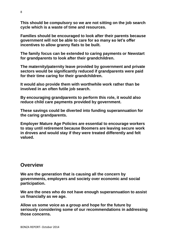**This should be compulsory so we are not sitting on the job search cycle which is a waste of time and resources.**

**Families should be encouraged to look after their parents because government will not be able to care for so many so let's offer incentives to allow granny flats to be built.**

**The family focus can be extended to caring payments or Newstart for grandparents to look after their grandchildren.** 

**The maternity/paternity leave provided by government and private sectors would be significantly reduced if grandparents were paid for their time caring for their grandchildren.**

**It would also provide them with worthwhile work rather than be involved in an often futile job search.** 

**By encouraging grandparents to perform this role, it would also reduce child care payments provided by government.**

**These savings could be diverted into funding superannuation for the caring grandparents.**

**Employer Mature Age Policies are essential to encourage workers to stay until retirement because Boomers are leaving secure work in droves and would stay if they were treated differently and felt valued.** 

#### **Overview**

**We are the generation that is causing all the concern by governments, employers and society over economic and social participation.** 

**We are the ones who do not have enough superannuation to assist us financially as we age.**

**Allow us some voice as a group and hope for the future by seriously considering some of our recommendations in addressing those concerns.**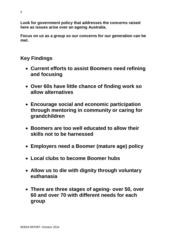**Look for government policy that addresses the concerns raised here as issues arise over an ageing Australia.**

**Focus on us as a group so our concerns for our generation can be met.**

# **Key Findings**

- **Current efforts to assist Boomers need refining and focusing**
- **Over 60s have little chance of finding work so allow alternatives**
- **Encourage social and economic participation through mentoring in community or caring for grandchildren**
- **Boomers are too well educated to allow their skills not to be harnessed**
- **Employers need a Boomer (mature age) policy**
- **Local clubs to become Boomer hubs**
- **Allow us to die with dignity through voluntary euthanasia**
- **There are three stages of ageing- over 50, over 60 and over 70 with different needs for each group**